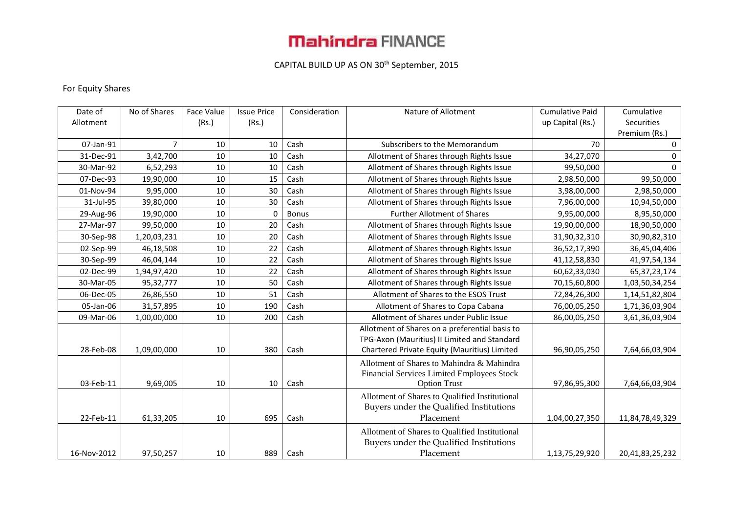# **Mahindra FINANCE**

### CAPITAL BUILD UP AS ON 30th September, 2015

### For Equity Shares

| Date of     | No of Shares | Face Value | <b>Issue Price</b> | Consideration | Nature of Allotment                            | <b>Cumulative Paid</b> | Cumulative      |
|-------------|--------------|------------|--------------------|---------------|------------------------------------------------|------------------------|-----------------|
| Allotment   |              | (Rs.)      | (Rs.)              |               |                                                | up Capital (Rs.)       | Securities      |
|             |              |            |                    |               |                                                |                        | Premium (Rs.)   |
| 07-Jan-91   | 7            | 10         | 10                 | Cash          | Subscribers to the Memorandum                  | 70                     | 0               |
| 31-Dec-91   | 3,42,700     | 10         | 10                 | Cash          | Allotment of Shares through Rights Issue       | 34,27,070              | 0               |
| 30-Mar-92   | 6,52,293     | 10         | 10                 | Cash          | Allotment of Shares through Rights Issue       | 99,50,000              | $\Omega$        |
| 07-Dec-93   | 19,90,000    | 10         | 15                 | Cash          | Allotment of Shares through Rights Issue       | 2,98,50,000            | 99,50,000       |
| 01-Nov-94   | 9,95,000     | 10         | 30                 | Cash          | Allotment of Shares through Rights Issue       | 3,98,00,000            | 2,98,50,000     |
| 31-Jul-95   | 39,80,000    | 10         | 30                 | Cash          | Allotment of Shares through Rights Issue       | 7,96,00,000            | 10,94,50,000    |
| 29-Aug-96   | 19,90,000    | 10         | $\mathbf{0}$       | <b>Bonus</b>  | <b>Further Allotment of Shares</b>             | 9,95,00,000            | 8,95,50,000     |
| 27-Mar-97   | 99,50,000    | 10         | 20                 | Cash          | Allotment of Shares through Rights Issue       | 19,90,00,000           | 18,90,50,000    |
| 30-Sep-98   | 1,20,03,231  | 10         | 20                 | Cash          | Allotment of Shares through Rights Issue       | 31,90,32,310           | 30,90,82,310    |
| 02-Sep-99   | 46,18,508    | 10         | 22                 | Cash          | Allotment of Shares through Rights Issue       | 36,52,17,390           | 36,45,04,406    |
| 30-Sep-99   | 46,04,144    | 10         | 22                 | Cash          | Allotment of Shares through Rights Issue       | 41,12,58,830           | 41,97,54,134    |
| 02-Dec-99   | 1,94,97,420  | 10         | 22                 | Cash          | Allotment of Shares through Rights Issue       | 60,62,33,030           | 65, 37, 23, 174 |
| 30-Mar-05   | 95,32,777    | 10         | 50                 | Cash          | Allotment of Shares through Rights Issue       | 70,15,60,800           | 1,03,50,34,254  |
| 06-Dec-05   | 26,86,550    | 10         | 51                 | Cash          | Allotment of Shares to the ESOS Trust          | 72,84,26,300           | 1,14,51,82,804  |
| 05-Jan-06   | 31,57,895    | 10         | 190                | Cash          | Allotment of Shares to Copa Cabana             | 76,00,05,250           | 1,71,36,03,904  |
| 09-Mar-06   | 1,00,00,000  | 10         | 200                | Cash          | Allotment of Shares under Public Issue         | 86,00,05,250           | 3,61,36,03,904  |
|             |              |            |                    |               | Allotment of Shares on a preferential basis to |                        |                 |
|             |              |            |                    |               | TPG-Axon (Mauritius) II Limited and Standard   |                        |                 |
| 28-Feb-08   | 1,09,00,000  | 10         | 380                | Cash          | Chartered Private Equity (Mauritius) Limited   | 96,90,05,250           | 7,64,66,03,904  |
|             |              |            |                    |               | Allotment of Shares to Mahindra & Mahindra     |                        |                 |
|             |              |            |                    |               | Financial Services Limited Employees Stock     |                        |                 |
| 03-Feb-11   | 9,69,005     | 10         | 10                 | Cash          | <b>Option Trust</b>                            | 97,86,95,300           | 7,64,66,03,904  |
|             |              |            |                    |               | Allotment of Shares to Qualified Institutional |                        |                 |
|             |              |            |                    |               | Buyers under the Qualified Institutions        |                        |                 |
| 22-Feb-11   | 61,33,205    | 10         | 695                | Cash          | Placement                                      | 1,04,00,27,350         | 11,84,78,49,329 |
|             |              |            |                    |               | Allotment of Shares to Qualified Institutional |                        |                 |
|             |              |            |                    |               | Buyers under the Qualified Institutions        |                        |                 |
| 16-Nov-2012 | 97,50,257    | 10         | 889                | Cash          | Placement                                      | 1,13,75,29,920         | 20,41,83,25,232 |